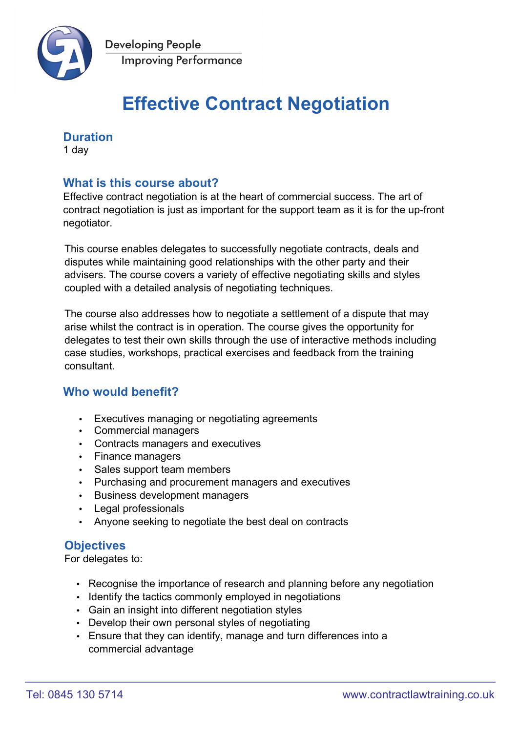

# **Effective Contract Negotiation**

## **Duration**

1 day

## **What is this course about?**

Effective contract negotiation is at the heart of commercial success. The art of contract negotiation is just as important for the support team as it is for the up-front negotiator.

This course enables delegates to successfully negotiate contracts, deals and disputes while maintaining good relationships with the other party and their advisers. The course covers a variety of effective negotiating skills and styles coupled with a detailed analysis of negotiating techniques.

The course also addresses how to negotiate a settlement of a dispute that may arise whilst the contract is in operation. The course gives the opportunity for delegates to test their own skills through the use of interactive methods including case studies, workshops, practical exercises and feedback from the training **consultant** 

## **Who would benefit?**

- Executives managing or negotiating agreements
- Commercial managers
- Contracts managers and executives
- Finance managers
- Sales support team members
- Purchasing and procurement managers and executives
- Business development managers
- Legal professionals
- Anyone seeking to negotiate the best deal on contracts

## **Objectives**

For delegates to:

- Recognise the importance of research and planning before any negotiation
- Identify the tactics commonly employed in negotiations
- Gain an insight into different negotiation styles
- Develop their own personal styles of negotiating
- Ensure that they can identify, manage and turn differences into a commercial advantage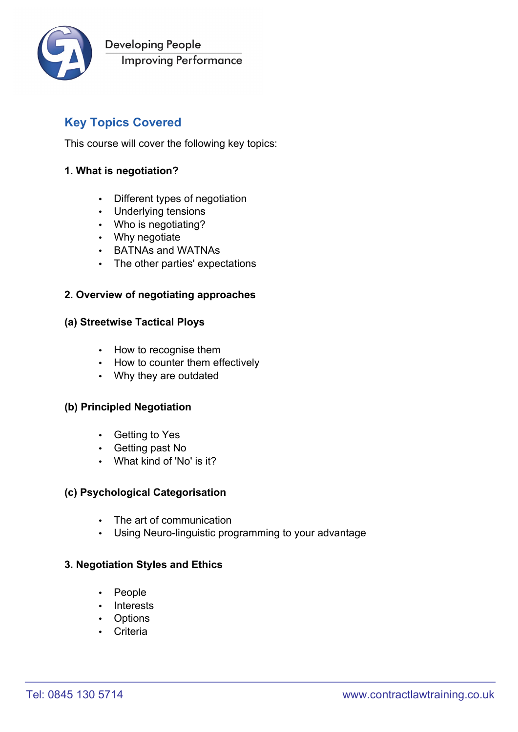

## **Key Topics Covered**

This course will cover the following key topics:

#### **1. What is negotiation?**

- Different types of negotiation
- Underlying tensions
- Who is negotiating?
- Why negotiate
- BATNAs and WATNAs
- The other parties' expectations

#### **2. Overview of negotiating approaches**

#### **(a) Streetwise Tactical Ploys**

- How to recognise them
- How to counter them effectively
- Why they are outdated

#### **(b) Principled Negotiation**

- Getting to Yes
- Getting past No
- What kind of 'No' is it?

#### **(c) Psychological Categorisation**

- The art of communication
- Using Neuro-linguistic programming to your advantage

#### **3. Negotiation Styles and Ethics**

- People
- Interests
- Options
- Criteria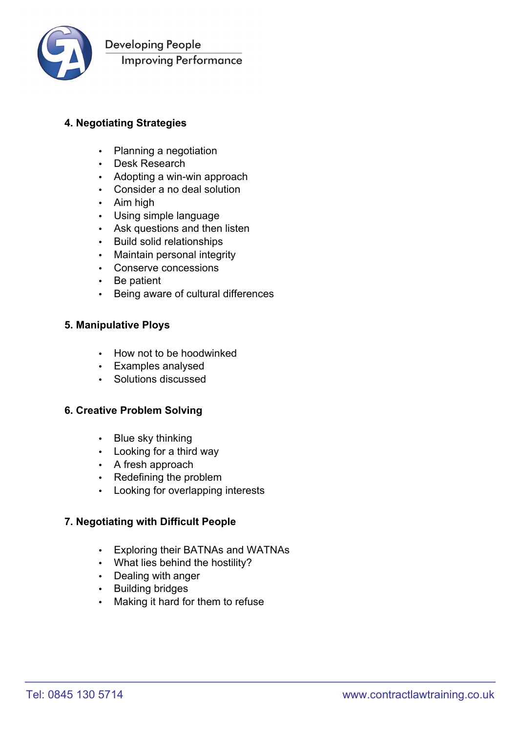

## **4. Negotiating Strategies**

- Planning a negotiation
- Desk Research
- Adopting a win-win approach
- Consider a no deal solution
- Aim high
- Using simple language
- Ask questions and then listen
- Build solid relationships
- Maintain personal integrity
- Conserve concessions
- Be patient
- Being aware of cultural differences

#### **5. Manipulative Ploys**

- How not to be hoodwinked
- Examples analysed
- Solutions discussed

#### **6. Creative Problem Solving**

- Blue sky thinking
- Looking for a third way
- A fresh approach
- Redefining the problem
- Looking for overlapping interests

#### **7. Negotiating with Difficult People**

- Exploring their BATNAs and WATNAs
- What lies behind the hostility?
- Dealing with anger
- Building bridges
- Making it hard for them to refuse